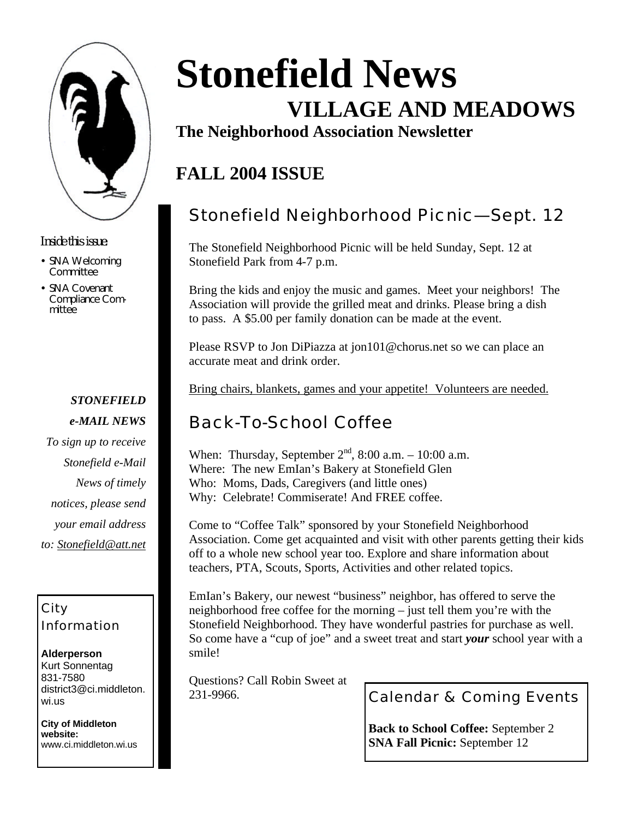

*Inside this issue:*

- SNA Welcoming **Committee**
- SNA Covenant Compliance Committee

### *STONEFIELD e-MAIL NEWS To sign up to receive Stonefield e-Mail News of timely*

*notices, please send your email address* 

*to: Stonefield@att.net*

### City Information

#### **Alderperson** Kurt Sonnentag 831-7580 district3@ci.middleton. wi.us

**City of Middleton website:** www.ci.middleton.wi.us

# **Stonefield News VILLAGE AND MEADOWS**

**The Neighborhood Association Newsletter**

# **FALL 2004 ISSUE**

# Stonefield Neighborhood Picnic—Sept. 12

The Stonefield Neighborhood Picnic will be held Sunday, Sept. 12 at Stonefield Park from 4-7 p.m.

Bring the kids and enjoy the music and games. Meet your neighbors! The Association will provide the grilled meat and drinks. Please bring a dish to pass. A \$5.00 per family donation can be made at the event.

Please RSVP to Jon DiPiazza at jon101@chorus.net so we can place an accurate meat and drink order.

Bring chairs, blankets, games and your appetite! Volunteers are needed.

# Back-To-School Coffee

When: Thursday, September  $2<sup>nd</sup>$ , 8:00 a.m. – 10:00 a.m. Where: The new EmIan's Bakery at Stonefield Glen Who: Moms, Dads, Caregivers (and little ones) Why: Celebrate! Commiserate! And FREE coffee.

Come to "Coffee Talk" sponsored by your Stonefield Neighborhood Association. Come get acquainted and visit with other parents getting their kids off to a whole new school year too. Explore and share information about teachers, PTA, Scouts, Sports, Activities and other related topics.

EmIan's Bakery, our newest "business" neighbor, has offered to serve the neighborhood free coffee for the morning – just tell them you're with the Stonefield Neighborhood. They have wonderful pastries for purchase as well. So come have a "cup of joe" and a sweet treat and start *your* school year with a smile!

Questions? Call Robin Sweet at 231-9966.

Calendar & Coming Events

**Back to School Coffee:** September 2 **SNA Fall Picnic:** September 12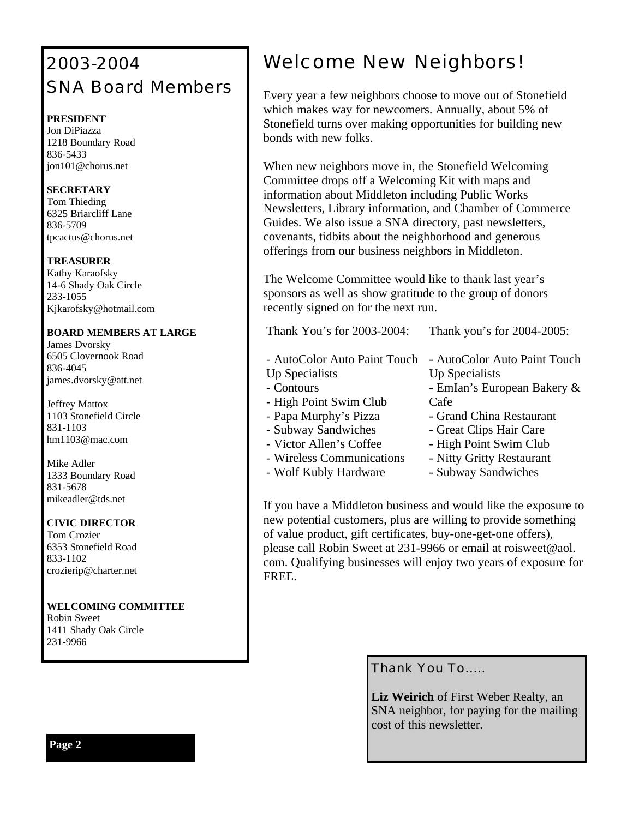# 2003-2004 SNA Board Members

#### **PRESIDENT**

Jon DiPiazza 1218 Boundary Road 836-5433 jon101@chorus.net

#### **SECRETARY**

Tom Thieding 6325 Briarcliff Lane 836-5709 tpcactus@chorus.net

#### **TREASURER**

Kathy Karaofsky 14-6 Shady Oak Circle 233-1055 Kjkarofsky@hotmail.com

#### **BOARD MEMBERS AT LARGE**

James Dvorsky 6505 Clovernook Road 836-4045 james.dvorsky@att.net

Jeffrey Mattox 1103 Stonefield Circle 831-1103 hm1103@mac.com

Mike Adler 1333 Boundary Road 831-5678 mikeadler@tds.net

#### **CIVIC DIRECTOR**

Tom Crozier 6353 Stonefield Road 833-1102 crozierip@charter.net

**WELCOMING COMMITTEE** Robin Sweet 1411 Shady Oak Circle 231-9966

# Welcome New Neighbors!

Every year a few neighbors choose to move out of Stonefield which makes way for newcomers. Annually, about 5% of Stonefield turns over making opportunities for building new bonds with new folks.

When new neighbors move in, the Stonefield Welcoming Committee drops off a Welcoming Kit with maps and information about Middleton including Public Works Newsletters, Library information, and Chamber of Commerce Guides. We also issue a SNA directory, past newsletters, covenants, tidbits about the neighborhood and generous offerings from our business neighbors in Middleton.

The Welcome Committee would like to thank last year's sponsors as well as show gratitude to the group of donors recently signed on for the next run.

Thank You's for 2003-2004:

Thank you's for 2004-2005:

- Up Specialists - Contours - High Point Swim Club
- Papa Murphy's Pizza
- Subway Sandwiches
- Victor Allen's Coffee
- Wireless Communications
- Wolf Kubly Hardware
- AutoColor Auto Paint Touch AutoColor Auto Paint Touch Up Specialists
	- EmIan's European Bakery & Cafe
	- Grand China Restaurant
	- Great Clips Hair Care
	- High Point Swim Club
	- Nitty Gritty Restaurant
	- Subway Sandwiches

If you have a Middleton business and would like the exposure to new potential customers, plus are willing to provide something of value product, gift certificates, buy-one-get-one offers), please call Robin Sweet at 231-9966 or email at roisweet@aol. com. Qualifying businesses will enjoy two years of exposure for FREE.

Thank You To…..

**Liz Weirich** of First Weber Realty, an SNA neighbor, for paying for the mailing cost of this newsletter.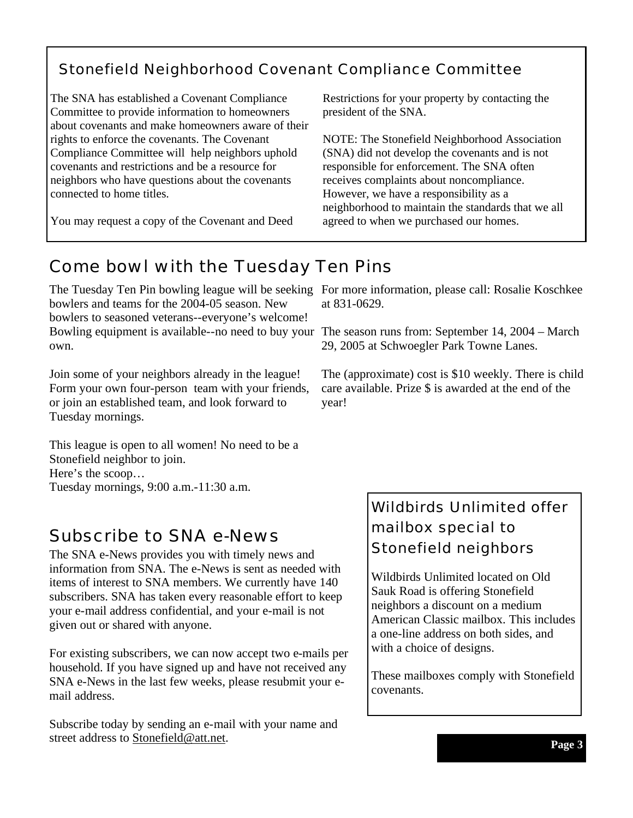### Stonefield Neighborhood Covenant Compliance Committee

The SNA has established a Covenant Compliance Committee to provide information to homeowners about covenants and make homeowners aware of their rights to enforce the covenants. The Covenant Compliance Committee will help neighbors uphold covenants and restrictions and be a resource for neighbors who have questions about the covenants connected to home titles.

You may request a copy of the Covenant and Deed

Restrictions for your property by contacting the president of the SNA.

NOTE: The Stonefield Neighborhood Association (SNA) did not develop the covenants and is not responsible for enforcement. The SNA often receives complaints about noncompliance. However, we have a responsibility as a neighborhood to maintain the standards that we all agreed to when we purchased our homes.

### Come bowl with the Tuesday Ten Pins

The Tuesday Ten Pin bowling league will be seeking For more information, please call: Rosalie Koschkee bowlers and teams for the 2004-05 season. New bowlers to seasoned veterans--everyone's welcome! Bowling equipment is available--no need to buy your The season runs from: September 14, 2004 – March own.

Join some of your neighbors already in the league! Form your own four-person team with your friends, or join an established team, and look forward to Tuesday mornings.

This league is open to all women! No need to be a Stonefield neighbor to join. Here's the scoop… Tuesday mornings, 9:00 a.m.-11:30 a.m.

### Subscribe to SNA e-News

The SNA e-News provides you with timely news and information from SNA. The e-News is sent as needed with items of interest to SNA members. We currently have 140 subscribers. SNA has taken every reasonable effort to keep your e-mail address confidential, and your e-mail is not given out or shared with anyone.

For existing subscribers, we can now accept two e-mails per household. If you have signed up and have not received any SNA e-News in the last few weeks, please resubmit your email address.

Subscribe today by sending an e-mail with your name and street address to **Stonefield@att.net**.

at 831-0629.

29, 2005 at Schwoegler Park Towne Lanes.

The (approximate) cost is \$10 weekly. There is child care available. Prize \$ is awarded at the end of the year!

### Wildbirds Unlimited offer mailbox special to Stonefield neighbors

Wildbirds Unlimited located on Old Sauk Road is offering Stonefield neighbors a discount on a medium American Classic mailbox. This includes a one-line address on both sides, and with a choice of designs.

These mailboxes comply with Stonefield covenants.